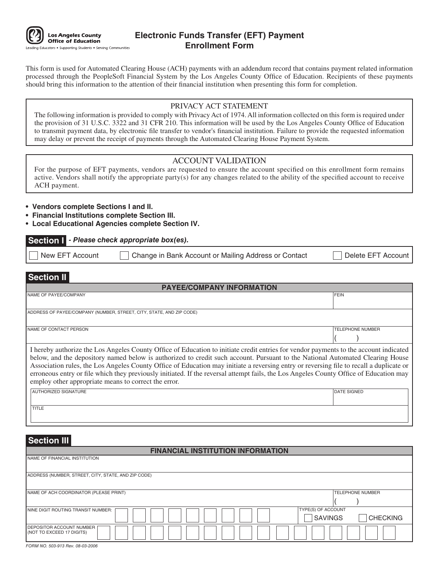

# **Electronic Funds Transfer (EFT) Payment Enrollment Form**

This form is used for Automated Clearing House (ACH) payments with an addendum record that contains payment related information processed through the PeopleSoft Financial System by the Los Angeles County Office of Education. Recipients of these payments should bring this information to the attention of their financial institution when presenting this form for completion.

## PRIVACY ACT STATEMENT

The following information is provided to comply with Privacy Act of 1974. All information collected on this form is required under the provision of 31 U.S.C. 3322 and 31 CFR 210. This information will be used by the Los Angeles County Office of Education to transmit payment data, by electronic file transfer to vendor's financial institution. Failure to provide the requested information may delay or prevent the receipt of payments through the Automated Clearing House Payment System.

## ACCOUNT VALIDATION

For the purpose of EFT payments, vendors are requested to ensure the account specified on this enrollment form remains active. Vendors shall notify the appropriate party(s) for any changes related to the ability of the specified account to receive ACH payment.

- **Vendors complete Sections I and II.**
- **Financial Institutions complete Section III.**
- **Local Educational Agencies complete Section IV.**

#### **Section I - Please check appropriate box(es).**

New EFT Account Change in Bank Account or Mailing Address or Contact | Delete EFT Account

# **Section II**

| <b>PAYEE/COMPANY INFORMATION</b>                                                                                                                                                                                                                                                                                                                                                                                                                                                                                                                                                                                    |                         |  |
|---------------------------------------------------------------------------------------------------------------------------------------------------------------------------------------------------------------------------------------------------------------------------------------------------------------------------------------------------------------------------------------------------------------------------------------------------------------------------------------------------------------------------------------------------------------------------------------------------------------------|-------------------------|--|
| NAME OF PAYEE/COMPANY                                                                                                                                                                                                                                                                                                                                                                                                                                                                                                                                                                                               | <b>FEIN</b>             |  |
|                                                                                                                                                                                                                                                                                                                                                                                                                                                                                                                                                                                                                     |                         |  |
| ADDRESS OF PAYEE/COMPANY (NUMBER, STREET, CITY, STATE, AND ZIP CODE)                                                                                                                                                                                                                                                                                                                                                                                                                                                                                                                                                |                         |  |
|                                                                                                                                                                                                                                                                                                                                                                                                                                                                                                                                                                                                                     |                         |  |
| NAME OF CONTACT PERSON                                                                                                                                                                                                                                                                                                                                                                                                                                                                                                                                                                                              | <b>TELEPHONE NUMBER</b> |  |
|                                                                                                                                                                                                                                                                                                                                                                                                                                                                                                                                                                                                                     |                         |  |
| I hereby authorize the Los Angeles County Office of Education to initiate credit entries for vendor payments to the account indicated<br>below, and the depository named below is authorized to credit such account. Pursuant to the National Automated Clearing House<br>Association rules, the Los Angeles County Office of Education may initiate a reversing entry or reversing file to recall a duplicate or<br>erroneous entry or file which they previously initiated. If the reversal attempt fails, the Los Angeles County Office of Education may<br>employ other appropriate means to correct the error. |                         |  |
| ALITUODIZED CIONATUDE                                                                                                                                                                                                                                                                                                                                                                                                                                                                                                                                                                                               | <b>IDATE CIONED</b>     |  |

# AUTHORIZED SIGNATURE **DATE SIGNED AUTHORIZED SIGNED AUTHORIZED** SIGNED AUTHORIZED SIGNED AUTHORIZED SIGNED AUTHORIZED SIGNED **TITLE**

# **Section III**

# **FINANCIAL INSTITUTION INFORMATION** NAME OF FINANCIAL INSTITUTION ADDRESS (NUMBER, STREET, CITY, STATE, AND ZIP CODE) NAME OF ACH COORDINATOR (PLEASE PRINT) THE CONSULTING THE CONSULTING THE COORDINATOR (PLEASE PRINT)  $($  ) NINE DIGIT ROUTING TRANSIT NUMBER: THE THE THE THEORY OF ACCOUNT THE THEORY OF ACCOUNT DEPOSITOR ACCOUNT NUMBER (NOT TO EXCEED 17 DIGITS) SAVINGS **CHECKING**

FORM NO. 503-913 Rev. 08-03-2006